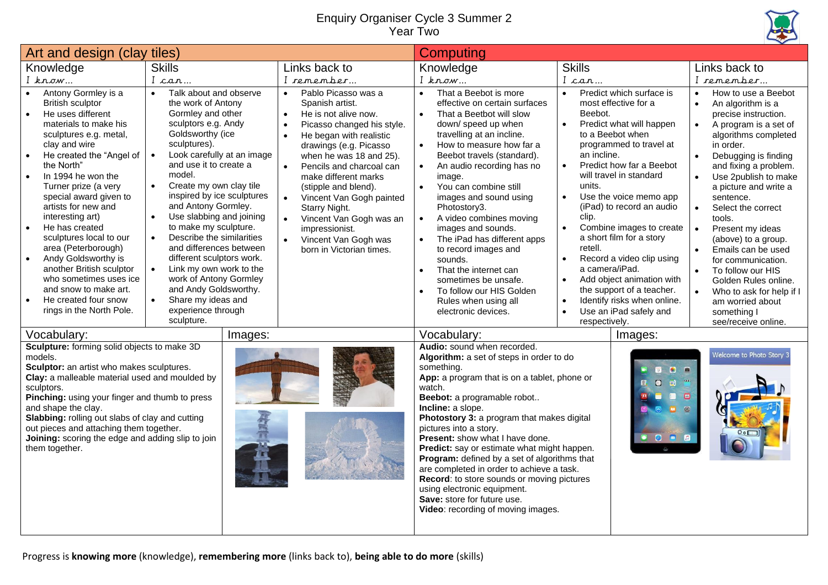## Enquiry Organiser Cycle 3 Summer 2 Year Two



| Art and design (clay tiles)                                                                                                                                                                                                                                                                                                                                                                                                                                                                                                                                                                                      |                                                                                                                                                                                                                                                                                                                                                                                                                                                                                                                                                                                                                                                             |                                                                                                                                                                                                                                                                                                                                                                                                                                                                                                                | Computing                                                                                                                                                                                                                                                                                                                                                                                                                                                                                                                                                                                                                          |                                                                                                                                                                                                                                                                                                                                                                                                                                                                                                                                                                                              |                                                                                                                                                                                                                                                                                                                                                                                                                                                                                                                         |
|------------------------------------------------------------------------------------------------------------------------------------------------------------------------------------------------------------------------------------------------------------------------------------------------------------------------------------------------------------------------------------------------------------------------------------------------------------------------------------------------------------------------------------------------------------------------------------------------------------------|-------------------------------------------------------------------------------------------------------------------------------------------------------------------------------------------------------------------------------------------------------------------------------------------------------------------------------------------------------------------------------------------------------------------------------------------------------------------------------------------------------------------------------------------------------------------------------------------------------------------------------------------------------------|----------------------------------------------------------------------------------------------------------------------------------------------------------------------------------------------------------------------------------------------------------------------------------------------------------------------------------------------------------------------------------------------------------------------------------------------------------------------------------------------------------------|------------------------------------------------------------------------------------------------------------------------------------------------------------------------------------------------------------------------------------------------------------------------------------------------------------------------------------------------------------------------------------------------------------------------------------------------------------------------------------------------------------------------------------------------------------------------------------------------------------------------------------|----------------------------------------------------------------------------------------------------------------------------------------------------------------------------------------------------------------------------------------------------------------------------------------------------------------------------------------------------------------------------------------------------------------------------------------------------------------------------------------------------------------------------------------------------------------------------------------------|-------------------------------------------------------------------------------------------------------------------------------------------------------------------------------------------------------------------------------------------------------------------------------------------------------------------------------------------------------------------------------------------------------------------------------------------------------------------------------------------------------------------------|
| Knowledge                                                                                                                                                                                                                                                                                                                                                                                                                                                                                                                                                                                                        | <b>Skills</b>                                                                                                                                                                                                                                                                                                                                                                                                                                                                                                                                                                                                                                               | Links back to                                                                                                                                                                                                                                                                                                                                                                                                                                                                                                  | Knowledge                                                                                                                                                                                                                                                                                                                                                                                                                                                                                                                                                                                                                          | <b>Skills</b>                                                                                                                                                                                                                                                                                                                                                                                                                                                                                                                                                                                | Links back to                                                                                                                                                                                                                                                                                                                                                                                                                                                                                                           |
| $I$ know                                                                                                                                                                                                                                                                                                                                                                                                                                                                                                                                                                                                         | I can                                                                                                                                                                                                                                                                                                                                                                                                                                                                                                                                                                                                                                                       | I remember                                                                                                                                                                                                                                                                                                                                                                                                                                                                                                     | $I$ know                                                                                                                                                                                                                                                                                                                                                                                                                                                                                                                                                                                                                           | I can                                                                                                                                                                                                                                                                                                                                                                                                                                                                                                                                                                                        | I remember                                                                                                                                                                                                                                                                                                                                                                                                                                                                                                              |
| Antony Gormley is a<br><b>British sculptor</b><br>He uses different<br>$\bullet$<br>materials to make his<br>sculptures e.g. metal,<br>clay and wire<br>He created the "Angel of<br>$\bullet$<br>the North"<br>In 1994 he won the<br>$\bullet$<br>Turner prize (a very<br>special award given to<br>artists for new and<br>interesting art)<br>He has created<br>$\bullet$<br>sculptures local to our<br>area (Peterborough)<br>Andy Goldsworthy is<br>$\bullet$<br>another British sculptor<br>who sometimes uses ice<br>and snow to make art.<br>He created four snow<br>$\bullet$<br>rings in the North Pole. | Talk about and observe<br>$\bullet$<br>the work of Antony<br>Gormley and other<br>sculptors e.g. Andy<br>Goldsworthy (ice<br>sculptures).<br>Look carefully at an image<br>$\bullet$<br>and use it to create a<br>model.<br>Create my own clay tile<br>$\bullet$<br>inspired by ice sculptures<br>and Antony Gormley.<br>Use slabbing and joining<br>$\bullet$<br>to make my sculpture.<br>Describe the similarities<br>$\bullet$<br>and differences between<br>different sculptors work.<br>Link my own work to the<br>$\bullet$<br>work of Antony Gormley<br>and Andy Goldsworthy.<br>Share my ideas and<br>$\bullet$<br>experience through<br>sculpture. | Pablo Picasso was a<br>$\bullet$<br>Spanish artist.<br>He is not alive now.<br>$\bullet$<br>Picasso changed his style.<br>$\bullet$<br>He began with realistic<br>$\bullet$<br>drawings (e.g. Picasso<br>when he was 18 and 25).<br>Pencils and charcoal can<br>$\bullet$<br>make different marks<br>(stipple and blend).<br>$\bullet$<br>Vincent Van Gogh painted<br>Starry Night.<br>Vincent Van Gogh was an<br>$\bullet$<br>impressionist.<br>$\bullet$<br>Vincent Van Gogh was<br>born in Victorian times. | That a Beebot is more<br>$\bullet$<br>effective on certain surfaces<br>That a Beetbot will slow<br>$\bullet$<br>down/speed up when<br>travelling at an incline.<br>How to measure how far a<br>$\bullet$<br>Beebot travels (standard).<br>An audio recording has no<br>image.<br>You can combine still<br>$\bullet$<br>images and sound using<br>Photostory3.<br>A video combines moving<br>images and sounds.<br>The iPad has different apps<br>to record images and<br>sounds.<br>That the internet can<br>$\bullet$<br>sometimes be unsafe.<br>To follow our HIS Golden<br>Rules when using all<br>electronic devices.          | Predict which surface is<br>$\bullet$<br>most effective for a<br>Beebot.<br>Predict what will happen<br>to a Beebot when<br>programmed to travel at<br>an incline.<br>Predict how far a Beebot<br>$\bullet$<br>will travel in standard<br>units.<br>Use the voice memo app<br>(iPad) to record an audio<br>clip.<br>Combine images to create<br>$\bullet$<br>a short film for a story<br>retell.<br>Record a video clip using<br>a camera/iPad.<br>Add object animation with<br>$\bullet$<br>the support of a teacher.<br>Identify risks when online.<br>$\bullet$<br>Use an iPad safely and | How to use a Beebot<br>An algorithm is a<br>$\bullet$<br>precise instruction.<br>A program is a set of<br>algorithms completed<br>in order.<br>Debugging is finding<br>$\bullet$<br>and fixing a problem.<br>Use 2publish to make<br>a picture and write a<br>sentence.<br>Select the correct<br>$\bullet$<br>tools.<br>Present my ideas<br>(above) to a group.<br>Emails can be used<br>for communication.<br>To follow our HIS<br>Golden Rules online.<br>Who to ask for help if I<br>am worried about<br>something I |
| Vocabulary:<br>Sculpture: forming solid objects to make 3D<br>models.<br>Sculptor: an artist who makes sculptures.<br>Clay: a malleable material used and moulded by<br>sculptors.<br>Pinching: using your finger and thumb to press<br>and shape the clay.<br>Slabbing: rolling out slabs of clay and cutting<br>out pieces and attaching them together.<br>Joining: scoring the edge and adding slip to join<br>them together.                                                                                                                                                                                 | Images:                                                                                                                                                                                                                                                                                                                                                                                                                                                                                                                                                                                                                                                     |                                                                                                                                                                                                                                                                                                                                                                                                                                                                                                                | Vocabulary:<br>Audio: sound when recorded.<br>Algorithm: a set of steps in order to do<br>something.<br>App: a program that is on a tablet, phone or<br>watch.<br>Beebot: a programable robot<br>Incline: a slope.<br>Photostory 3: a program that makes digital<br>pictures into a story.<br><b>Present:</b> show what I have done.<br>Predict: say or estimate what might happen.<br>Program: defined by a set of algorithms that<br>are completed in order to achieve a task.<br>Record: to store sounds or moving pictures<br>using electronic equipment.<br>Save: store for future use.<br>Video: recording of moving images. | respectively.<br>Images:<br>8 8<br>$\boxed{\circ}$<br>$\begin{array}{c} \bullet \\ \bullet \end{array}$<br>$\mathbf{m}$<br>$\Box$<br>$\blacksquare$<br>$^{\circ}$<br>$\blacksquare$<br><b>O D D</b>                                                                                                                                                                                                                                                                                                                                                                                          | see/receive online.<br>Welcome to Photo Story 3                                                                                                                                                                                                                                                                                                                                                                                                                                                                         |